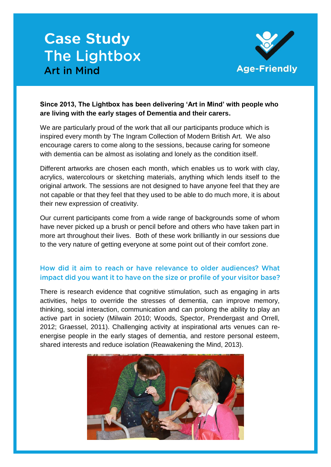# **Case Study The Lightbox Art in Mind**



## **Since 2013, The Lightbox has been delivering 'Art in Mind' with people who are living with the early stages of Dementia and their carers.**

We are particularly proud of the work that all our participants produce which is inspired every month by The Ingram Collection of Modern British Art. We also encourage carers to come along to the sessions, because caring for someone with dementia can be almost as isolating and lonely as the condition itself.

Different artworks are chosen each month, which enables us to work with clay, acrylics, watercolours or sketching materials, anything which lends itself to the original artwork. The sessions are not designed to have anyone feel that they are not capable or that they feel that they used to be able to do much more, it is about their new expression of creativity.

Our current participants come from a wide range of backgrounds some of whom have never picked up a brush or pencil before and others who have taken part in more art throughout their lives. Both of these work brilliantly in our sessions due to the very nature of getting everyone at some point out of their comfort zone.

# How did it aim to reach or have relevance to older audiences? What impact did you want it to have on the size or profile of your visitor base?

There is research evidence that cognitive stimulation, such as engaging in arts activities, helps to override the stresses of dementia, can improve memory, thinking, social interaction, communication and can prolong the ability to play an active part in society (Milwain 2010; Woods, Spector, Prendergast and Orrell, 2012; Graessel, 2011). Challenging activity at inspirational arts venues can reenergise people in the early stages of dementia, and restore personal esteem, shared interests and reduce isolation (Reawakening the Mind, 2013).

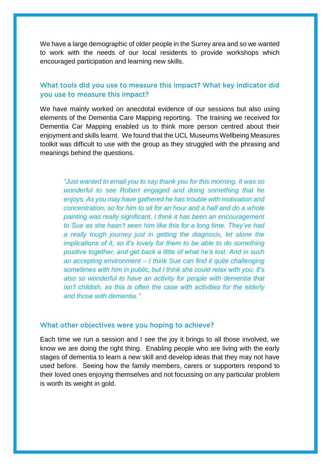We have a large demographic of older people in the Surrey area and so we wanted to work with the needs of our local residents to provide workshops which encouraged participation and learning new skills.

## What tools did you use to measure this impact? What key indicator did vou use to measure this impact?

We have mainly worked on anecdotal evidence of our sessions but also using elements of the Dementia Care Mapping reporting. The training we received for Dementia Car Mapping enabled us to think more person centred about their enjoyment and skills learnt. We found that the UCL Museums Wellbeing Measures toolkit was difficult to use with the group as they struggled with the phrasing and meanings behind the questions.

*"Just wanted to email you to say thank you for this morning. It was so wonderful to see Robert engaged and doing something that he enjoys. As you may have gathered he has trouble with motivation and concentration, so for him to sit for an hour and a half and do a whole painting was really significant. I think it has been an encouragement to Sue as she hasn't seen him like this for a long time. They've had a really tough journey just in getting the diagnosis, let alone the implications of it, so it's lovely for them to be able to do something positive together, and get back a little of what he's lost. And in such an accepting environment – I think Sue can find it quite challenging sometimes with him in public, but I think she could relax with you. It's also so wonderful to have an activity for people with dementia that isn't childish, as this is often the case with activities for the elderly and those with dementia."*

#### What other objectives were you hoping to achieve?

Each time we run a session and I see the joy it brings to all those involved, we know we are doing the right thing. Enabling people who are living with the early stages of dementia to learn a new skill and develop ideas that they may not have used before. Seeing how the family members, carers or supporters respond to their loved ones enjoying themselves and not focussing on any particular problem is worth its weight in gold.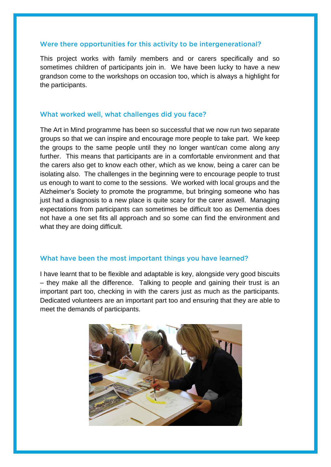#### Were there opportunities for this activity to be intergenerational?

This project works with family members and or carers specifically and so sometimes children of participants join in. We have been lucky to have a new grandson come to the workshops on occasion too, which is always a highlight for the participants.

### What worked well, what challenges did you face?

The Art in Mind programme has been so successful that we now run two separate groups so that we can inspire and encourage more people to take part. We keep the groups to the same people until they no longer want/can come along any further. This means that participants are in a comfortable environment and that the carers also get to know each other, which as we know, being a carer can be isolating also. The challenges in the beginning were to encourage people to trust us enough to want to come to the sessions. We worked with local groups and the Alzheimer's Society to promote the programme, but bringing someone who has just had a diagnosis to a new place is quite scary for the carer aswell. Managing expectations from participants can sometimes be difficult too as Dementia does not have a one set fits all approach and so some can find the environment and what they are doing difficult.

#### What have been the most important things you have learned?

I have learnt that to be flexible and adaptable is key, alongside very good biscuits – they make all the difference. Talking to people and gaining their trust is an important part too, checking in with the carers just as much as the participants. Dedicated volunteers are an important part too and ensuring that they are able to meet the demands of participants.